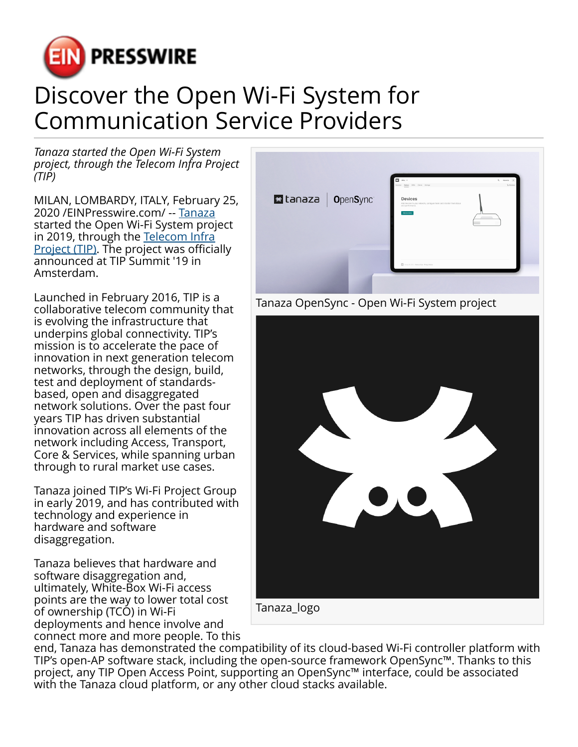

## Discover the Open Wi-Fi System for Communication Service Providers

*Tanaza started the Open Wi-Fi System project, through the Telecom Infra Project (TIP)*

MILAN, LOMBARDY, ITALY, February 25, 2020 /[EINPresswire.com](http://www.einpresswire.com)/ -- [Tanaza](https://www.tanaza.com/) started the Open Wi-Fi System project in 2019, through the [Telecom Infra](https://telecominfraproject.com/) [Project \(TIP\)](https://telecominfraproject.com/). The project was officially announced at TIP Summit '19 in Amsterdam.

Launched in February 2016, TIP is a collaborative telecom community that is evolving the infrastructure that underpins global connectivity. TIP's mission is to accelerate the pace of innovation in next generation telecom networks, through the design, build, test and deployment of standardsbased, open and disaggregated network solutions. Over the past four years TIP has driven substantial innovation across all elements of the network including Access, Transport, Core & Services, while spanning urban through to rural market use cases.

Tanaza joined TIP's Wi-Fi Project Group in early 2019, and has contributed with technology and experience in hardware and software disaggregation.

Tanaza believes that hardware and software disaggregation and, ultimately, White-Box Wi-Fi access points are the way to lower total cost of ownership (TCO) in Wi-Fi deployments and hence involve and connect more and more people. To this







end, Tanaza has demonstrated the compatibility of its cloud-based Wi-Fi controller platform with TIP's open-AP software stack, including the open-source framework OpenSync™. Thanks to this project, any TIP Open Access Point, supporting an OpenSync™ interface, could be associated with the Tanaza cloud platform, or any other cloud stacks available.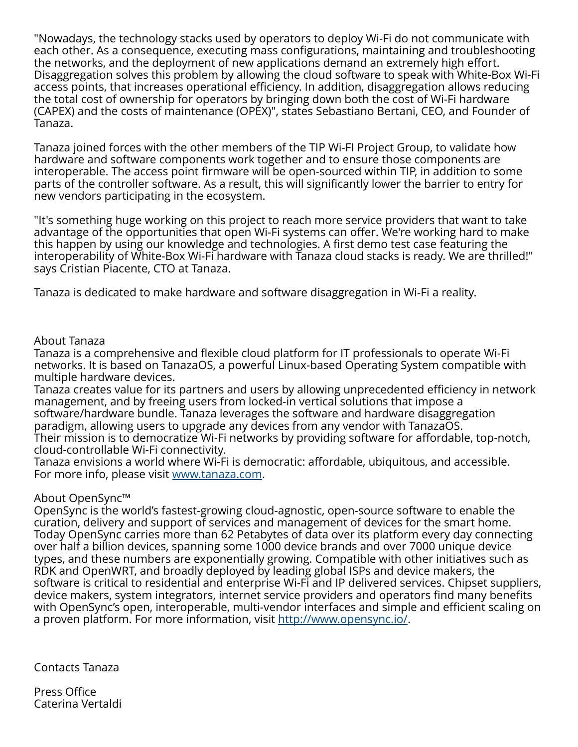"Nowadays, the technology stacks used by operators to deploy Wi-Fi do not communicate with each other. As a consequence, executing mass configurations, maintaining and troubleshooting the networks, and the deployment of new applications demand an extremely high effort. Disaggregation solves this problem by allowing the cloud software to speak with White-Box Wi-Fi access points, that increases operational efficiency. In addition, disaggregation allows reducing the total cost of ownership for operators by bringing down both the cost of Wi-Fi hardware (CAPEX) and the costs of maintenance (OPEX)", states Sebastiano Bertani, CEO, and Founder of Tanaza.

Tanaza joined forces with the other members of the TIP Wi-FI Project Group, to validate how hardware and software components work together and to ensure those components are interoperable. The access point firmware will be open-sourced within TIP, in addition to some parts of the controller software. As a result, this will significantly lower the barrier to entry for new vendors participating in the ecosystem.

"It's something huge working on this project to reach more service providers that want to take advantage of the opportunities that open Wi-Fi systems can offer. We're working hard to make this happen by using our knowledge and technologies. A first demo test case featuring the interoperability of White-Box Wi-Fi hardware with Tanaza cloud stacks is ready. We are thrilled!" says Cristian Piacente, CTO at Tanaza.

Tanaza is dedicated to make hardware and software disaggregation in Wi-Fi a reality.

## About Tanaza

Tanaza is a comprehensive and flexible cloud platform for IT professionals to operate Wi-Fi networks. It is based on TanazaOS, a powerful Linux-based Operating System compatible with multiple hardware devices.

Tanaza creates value for its partners and users by allowing unprecedented efficiency in network management, and by freeing users from locked-in vertical solutions that impose a software/hardware bundle. Tanaza leverages the software and hardware disaggregation paradigm, allowing users to upgrade any devices from any vendor with TanazaOS. Their mission is to democratize Wi-Fi networks by providing software for affordable, top-notch, cloud-controllable Wi-Fi connectivity.

Tanaza envisions a world where Wi-Fi is democratic: affordable, ubiquitous, and accessible. For more info, please visit [www.tanaza.com.](http://www.tanaza.com)

## About OpenSync™

OpenSync is the world's fastest-growing cloud-agnostic, open-source software to enable the curation, delivery and support of services and management of devices for the smart home. Today OpenSync carries more than 62 Petabytes of data over its platform every day connecting over half a billion devices, spanning some 1000 device brands and over 7000 unique device types, and these numbers are exponentially growing. Compatible with other initiatives such as RDK and OpenWRT, and broadly deployed by leading global ISPs and device makers, the software is critical to residential and enterprise Wi-Fi and IP delivered services. Chipset suppliers, device makers, system integrators, internet service providers and operators find many benefits with OpenSync's open, interoperable, multi-vendor interfaces and simple and efficient scaling on a proven platform. For more information, visit [http://www.opensync.io/.](http://www.opensync.io/)

Contacts Tanaza

Press Office Caterina Vertaldi